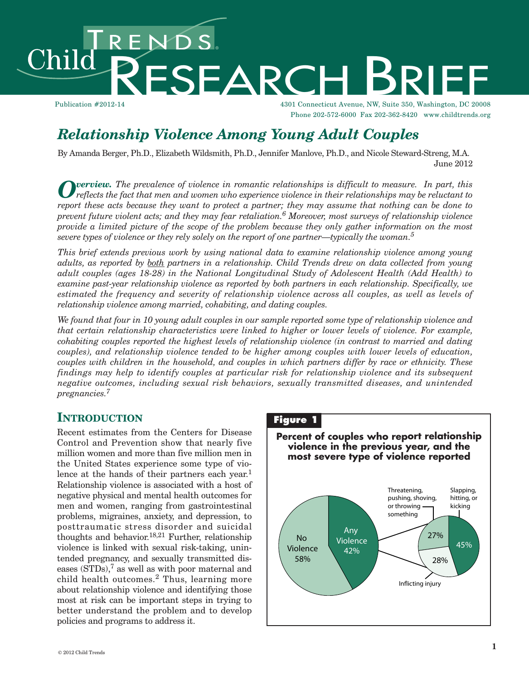# ENDS.<br>RESEARC Child

Publication #2012-14 4301 Connecticut Avenue, NW, Suite 350, Washington, DC 20008 Phone 202-572-6000 Fax 202-362-8420 www.childtrends.org

## *Relationship Violence Among Young Adult Couples*

By Amanda Berger, Ph.D., Elizabeth Wildsmith, Ph.D., Jennifer Manlove, Ph.D., and Nicole Steward-Streng, M.A. June 2012

 $\boldsymbol{O}$  verview. The prevalence of violence in romantic relationships is difficult to measure. In part, this reflects the fact that men and women who experience violence in their relationships may be reluctant to report these acts because they want to protect a partner; they may assume that nothing can be done to *prevent future violent acts; and they may fear retaliation. <sup>6</sup> Moreover, most surveys of relationship violence* provide a limited picture of the scope of the problem because they only gather information on the most *severe types of violence or they rely solely on the report of one partner—typically the woman. 5*

*This brief extends previous work by using national data to examine relationship violence among young adults, as reported by both partners in a relationship. Child Trends drew on data collected from young adult couples (ages 18-28) in the National Longitudinal Study of Adolescent Health (Add Health) to examine past-year relationship violence as reported by both partners in each relationship. Specifically, we estimated the frequency and severity of relationship violence across all couples, as well as levels of relationship violence among married, cohabiting, and dating couples.*

We found that four in 10 young adult couples in our sample reported some type of relationship violence and *that certain relationship characteristics were linked to higher or lower levels of violence. For example, cohabiting couples reported the highest levels of relationship violence (in contrast to married and dating couples), and relationship violence tended to be higher among couples with lower levels of education, couples with children in the household, and couples in which partners differ by race or ethnicity. These findings may help to identify couples at particular risk for relationship violence and its subsequent negative outcomes, including sexual risk behaviors, sexually transmitted diseases, and unintended pregnancies. 7*

## **INTRODUCTION**

Recent estimates from the Centers for Disease Control and Prevention show that nearly five million women and more than five million men in the United States experience some type of violence at the hands of their partners each year. 1 Relationship violence is associated with a host of negative physical and mental health outcomes for men and women, ranging from gastrointestinal problems, migraines, anxiety, and depression, to posttraumatic stress disorder and suicidal thoughts and behavior.<sup>18,21</sup> Further, relationship violence is linked with sexual risk-taking, unintended pregnancy, and sexually transmitted diseases (STDs), <sup>7</sup> as well as with poor maternal and child health outcomes. <sup>2</sup> Thus, learning more about relationship violence and identifying those most at risk can be important steps in trying to better understand the problem and to develop policies and programs to address it.

## **Figure 1**

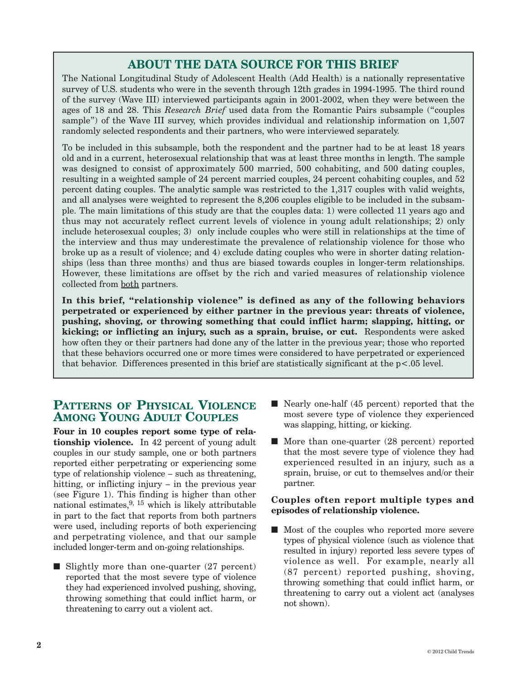## **ABOUT THE DATA SOURCE FOR THIS BRIEF**

The National Longitudinal Study of Adolescent Health (Add Health) is a nationally representative survey of U.S. students who were in the seventh through 12th grades in 1994-1995. The third round of the survey (Wave III) interviewed participants again in 2001-2002, when they were between the ages of 18 and 28. This *Research Brief* used data from the Romantic Pairs subsample ("couples sample") of the Wave III survey, which provides individual and relationship information on 1,507 randomly selected respondents and their partners, who were interviewed separately.

To be included in this subsample, both the respondent and the partner had to be at least 18 years old and in a current, heterosexual relationship that was at least three months in length. The sample was designed to consist of approximately 500 married, 500 cohabiting, and 500 dating couples, resulting in a weighted sample of 24 percent married couples, 24 percent cohabiting couples, and 52 percent dating couples. The analytic sample was restricted to the 1,317 couples with valid weights, and all analyses were weighted to represent the 8,206 couples eligible to be included in the subsample. The main limitations of this study are that the couples data: 1) were collected 11 years ago and thus may not accurately reflect current levels of violence in young adult relationships; 2) only include heterosexual couples; 3) only include couples who were still in relationships at the time of the interview and thus may underestimate the prevalence of relationship violence for those who broke up as a result of violence; and 4) exclude dating couples who were in shorter dating relationships (less than three months) and thus are biased towards couples in longer-term relationships. However, these limitations are offset by the rich and varied measures of relationship violence collected from both partners.

**In this brief, "relationship violence" is defined as any of the following behaviors perpetrated or experienced by either partner in the previous year: threats of violence, pushing, shoving, or throwing something that could inflict harm; slapping, hitting, or kicking; or inflicting an injury, such as a sprain, bruise, or cut.** Respondents were asked how often they or their partners had done any of the latter in the previous year; those who reported that these behaviors occurred one or more times were considered to have perpetrated or experienced that behavior. Differences presented in this brief are statistically significant at the p<.05 level.

## **PATTERNS OF PHYSICAL VIOLENCE AMONG YOUNG ADULT COUPLES**

**Four in 10 couples report some type of relationship violence.** In 42 percent of young adult couples in our study sample, one or both partners reported either perpetrating or experiencing some type of relationship violence – such as threatening, hitting, or inflicting injury – in the previous year (see Figure 1). This finding is higher than other national estimates, 9, <sup>15</sup> which is likely attributable in part to the fact that reports from both partners were used, including reports of both experiencing and perpetrating violence, and that our sample included longer-term and on-going relationships.

Slightly more than one-quarter  $(27$  percent) reported that the most severe type of violence they had experienced involved pushing, shoving, throwing something that could inflict harm, or threatening to carry out a violent act.

- $\blacksquare$  Nearly one-half (45 percent) reported that the most severe type of violence they experienced was slapping, hitting, or kicking.
- $\blacksquare$  More than one-quarter (28 percent) reported that the most severe type of violence they had experienced resulted in an injury, such as a sprain, bruise, or cut to themselves and/or their partner.

#### **Couples often report multiple types and episodes of relationship violence.**

 $\blacksquare$  Most of the couples who reported more severe types of physical violence (such as violence that resulted in injury) reported less severe types of violence as well. For example, nearly all (87 percent) reported pushing, shoving, throwing something that could inflict harm, or threatening to carry out a violent act (analyses not shown).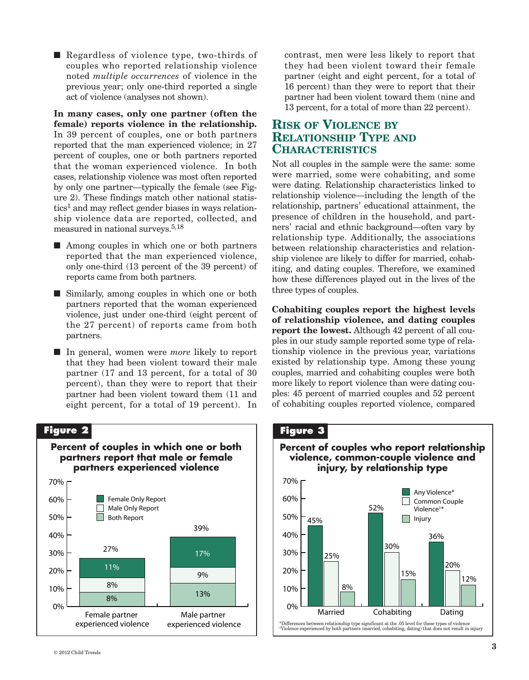Regardless of violence type, two-thirds of couples who reported relationship violence noted *multiple occurrences* of violence in the previous year; only one-third reported a single act of violence (analyses not shown).

**In many cases, only one partner (often the female) reports violence in the relationship.** In 39 percent of couples, one or both partners reported that the man experienced violence; in 27 percent of couples, one or both partners reported that the woman experienced violence. In both cases, relationship violence was most often reported by only one partner—typically the female (see Figure 2). These findings match other national statis $tics<sup>1</sup>$  and may reflect gender biases in ways relationship violence data are reported, collected, and measured in national surveys. 5,18

- $\blacksquare$  Among couples in which one or both partners reported that the man experienced violence, only one-third (13 percent of the 39 percent) of reports came from both partners.
- Similarly, among couples in which one or both partners reported that the woman experienced violence, just under one-third (eight percent of the 27 percent) of reports came from both partners.
- In general, women were *more* likely to report that they had been violent toward their male partner (17 and 13 percent, for a total of 30 percent), than they were to report that their partner had been violent toward them (11 and eight percent, for a total of 19 percent). In

#### **Figure 2**



contrast, men were less likely to report that they had been violent toward their female partner (eight and eight percent, for a total of 16 percent) than they were to report that their partner had been violent toward them (nine and 13 percent, for a total of more than 22 percent).

## **RISK OF VIOLENCE BY RELATIONSHIP TYPE AND CHARACTERISTICS**

Not all couples in the sample were the same: some were married, some were cohabiting, and some were dating. Relationship characteristics linked to relationship violence—including the length of the relationship, partners' educational attainment, the presence of children in the household, and partners' racial and ethnic background—often vary by relationship type. Additionally, the associations between relationship characteristics and relationship violence are likely to differ for married, cohabiting, and dating couples. Therefore, we examined how these differences played out in the lives of the three types of couples.

**Cohabiting couples report the highest levels of relationship violence, and dating couples report the lowest.** Although 42 percent of all couples in our study sample reported some type of relationship violence in the previous year, variations existed by relationship type. Among these young couples, married and cohabiting couples were both more likely to report violence than were dating couples: 45 percent of married couples and 52 percent of cohabiting couples reported violence, compared

#### **Figure 3**

#### **Percent of couples who report relationship violence, common-couple violence and injury, by relationship type**

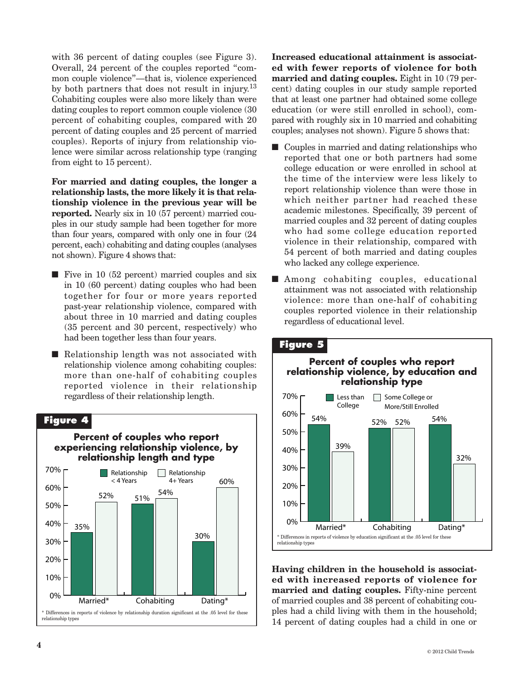with 36 percent of dating couples (see Figure 3). Overall, 24 percent of the couples reported "common couple violence"—that is, violence experienced by both partners that does not result in injury.<sup>13</sup> Cohabiting couples were also more likely than were dating couples to report common couple violence (30 percent of cohabiting couples, compared with 20 percent of dating couples and 25 percent of married couples). Reports of injury from relationship violence were similar across relationship type (ranging from eight to 15 percent).

**For married and dating couples, the longer a relationship lasts, the more likely it is that relationship violence in the previous year will be reported.** Nearly six in 10 (57 percent) married couples in our study sample had been together for more than four years, compared with only one in four (24 percent, each) cohabiting and dating couples (analyses not shown). Figure 4 shows that:

- $\blacksquare$  Five in 10 (52 percent) married couples and six in 10 (60 percent) dating couples who had been together for four or more years reported past-year relationship violence, compared with about three in 10 married and dating couples (35 percent and 30 percent, respectively) who had been together less than four years.
- $\blacksquare$  Relationship length was not associated with relationship violence among cohabiting couples: more than one-half of cohabiting couples reported violence in their relationship regardless of their relationship length.



**Increased educational attainment is associated with fewer reports of violence for both married and dating couples.** Eight in 10 (79 percent) dating couples in our study sample reported that at least one partner had obtained some college education (or were still enrolled in school), compared with roughly six in 10 married and cohabiting couples; analyses not shown). Figure 5 shows that:

- $\Box$  Couples in married and dating relationships who reported that one or both partners had some college education or were enrolled in school at the time of the interview were less likely to report relationship violence than were those in which neither partner had reached these academic milestones. Specifically, 39 percent of married couples and 32 percent of dating couples who had some college education reported violence in their relationship, compared with 54 percent of both married and dating couples who lacked any college experience.
- Among cohabiting couples, educational attainment was not associated with relationship violence: more than one-half of cohabiting couples reported violence in their relationship regardless of educational level.



**Having children in the household is associated with increased reports of violence for married and dating couples.** Fifty-nine percent of married couples and 38 percent of cohabiting couples had a child living with them in the household; 14 percent of dating couples had a child in one or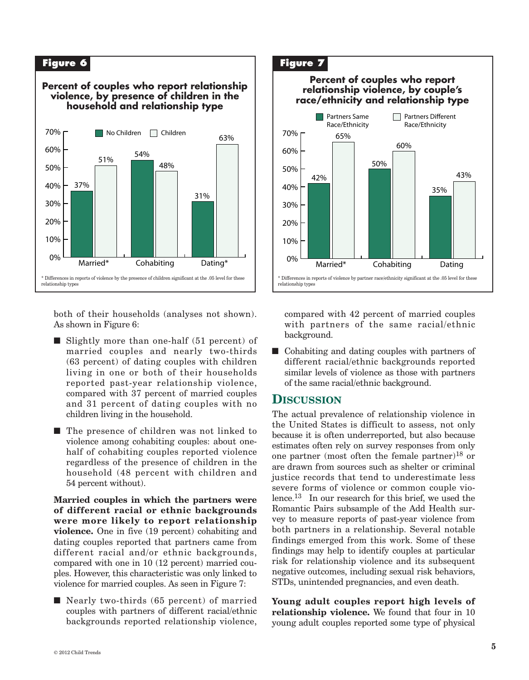

both of their households (analyses not shown). As shown in Figure 6:

- $\blacksquare$  Slightly more than one-half (51 percent) of married couples and nearly two-thirds (63 percent) of dating couples with children living in one or both of their households reported past-year relationship violence, compared with 37 percent of married couples and 31 percent of dating couples with no children living in the household.
- $\blacksquare$  The presence of children was not linked to violence among cohabiting couples: about onehalf of cohabiting couples reported violence regardless of the presence of children in the household (48 percent with children and 54 percent without).

**Married couples in which the partners were of different racial or ethnic backgrounds were more likely to report relationship violence.** One in five (19 percent) cohabiting and dating couples reported that partners came from different racial and/or ethnic backgrounds, compared with one in 10 (12 percent) married couples. However, this characteristic was only linked to violence for married couples. As seen in Figure 7:

 $\blacksquare$  Nearly two-thirds (65 percent) of married couples with partners of different racial/ethnic backgrounds reported relationship violence,

#### 65% 60% 50%  $\Box$  Partners Different Race/Ethnicity **Partners Same** Race/Ethnicity **Figure 7 Percent of couples who report relationship violence, by couple's race/ethnicity and relationship type**



compared with 42 percent of married couples with partners of the same racial/ethnic background.

 $\blacksquare$  Cohabiting and dating couples with partners of different racial/ethnic backgrounds reported similar levels of violence as those with partners of the same racial/ethnic background.

#### **DISCUSSION**

The actual prevalence of relationship violence in the United States is difficult to assess, not only because it is often underreported, but also because estimates often rely on survey responses from only one partner (most often the female partner)<sup>18</sup> or are drawn from sources such as shelter or criminal justice records that tend to underestimate less severe forms of violence or common couple violence. <sup>13</sup> In our research for this brief, we used the Romantic Pairs subsample of the Add Health survey to measure reports of past-year violence from both partners in a relationship. Several notable findings emerged from this work. Some of these findings may help to identify couples at particular risk for relationship violence and its subsequent negative outcomes, including sexual risk behaviors, STDs, unintended pregnancies, and even death.

**Young adult couples report high levels of relationship violence.** We found that four in 10 young adult couples reported some type of physical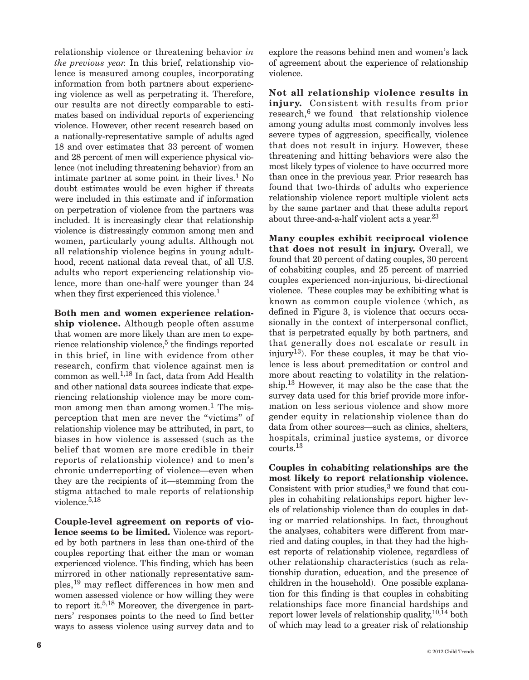relationship violence or threatening behavior *in the previous year.* In this brief, relationship violence is measured among couples, incorporating information from both partners about experiencing violence as well as perpetrating it. Therefore, our results are not directly comparable to estimates based on individual reports of experiencing violence. However, other recent research based on a nationally-representative sample of adults aged 18 and over estimates that 33 percent of women and 28 percent of men will experience physical violence (not including threatening behavior) from an intimate partner at some point in their lives. <sup>1</sup> No doubt estimates would be even higher if threats were included in this estimate and if information on perpetration of violence from the partners was included. It is increasingly clear that relationship violence is distressingly common among men and women, particularly young adults. Although not all relationship violence begins in young adulthood, recent national data reveal that, of all U.S. adults who report experiencing relationship violence, more than one-half were younger than 24 when they first experienced this violence. 1

**Both men and women experience relationship violence.** Although people often assume that women are more likely than are men to experience relationship violence, <sup>5</sup> the findings reported in this brief, in line with evidence from other research, confirm that violence against men is common as well. 1,18 In fact, data from Add Health and other national data sources indicate that experiencing relationship violence may be more common among men than among women. <sup>1</sup> The misperception that men are never the "victims" of relationship violence may be attributed, in part, to biases in how violence is assessed (such as the belief that women are more credible in their reports of relationship violence) and to men's chronic underreporting of violence—even when they are the recipients of it—stemming from the stigma attached to male reports of relationship violence. 5,18

**Couple-level agreement on reports of violence seems to be limited.** Violence was reported by both partners in less than one-third of the couples reporting that either the man or woman experienced violence. This finding, which has been mirrored in other nationally representative samples, <sup>19</sup> may reflect differences in how men and women assessed violence or how willing they were to report it. 5,18 Moreover, the divergence in partners' responses points to the need to find better ways to assess violence using survey data and to

explore the reasons behind men and women's lack of agreement about the experience of relationship violence.

**Not all relationship violence results in injury.** Consistent with results from prior research, <sup>6</sup> we found that relationship violence among young adults most commonly involves less severe types of aggression, specifically, violence that does not result in injury. However, these threatening and hitting behaviors were also the most likely types of violence to have occurred more than once in the previous year. Prior research has found that two-thirds of adults who experience relationship violence report multiple violent acts by the same partner and that these adults report about three-and-a-half violent acts a year.<sup>23</sup>

**Many couples exhibit reciprocal violence that does not result in injury.** Overall, we found that 20 percent of dating couples, 30 percent of cohabiting couples, and 25 percent of married couples experienced non-injurious, bi-directional violence. These couples may be exhibiting what is known as common couple violence (which, as defined in Figure 3, is violence that occurs occasionally in the context of interpersonal conflict, that is perpetrated equally by both partners, and that generally does not escalate or result in injury13). For these couples, it may be that violence is less about premeditation or control and more about reacting to volatility in the relationship. <sup>13</sup> However, it may also be the case that the survey data used for this brief provide more information on less serious violence and show more gender equity in relationship violence than do data from other sources—such as clinics, shelters, hospitals, criminal justice systems, or divorce courts. 13

**Couples in cohabiting relationships are the most likely to report relationship violence.** Consistent with prior studies, <sup>3</sup> we found that couples in cohabiting relationships report higher levels of relationship violence than do couples in dating or married relationships. In fact, throughout the analyses, cohabiters were different from married and dating couples, in that they had the highest reports of relationship violence, regardless of other relationship characteristics (such as relationship duration, education, and the presence of children in the household). One possible explanation for this finding is that couples in cohabiting relationships face more financial hardships and report lower levels of relationship quality, 10,14 both of which may lead to a greater risk of relationship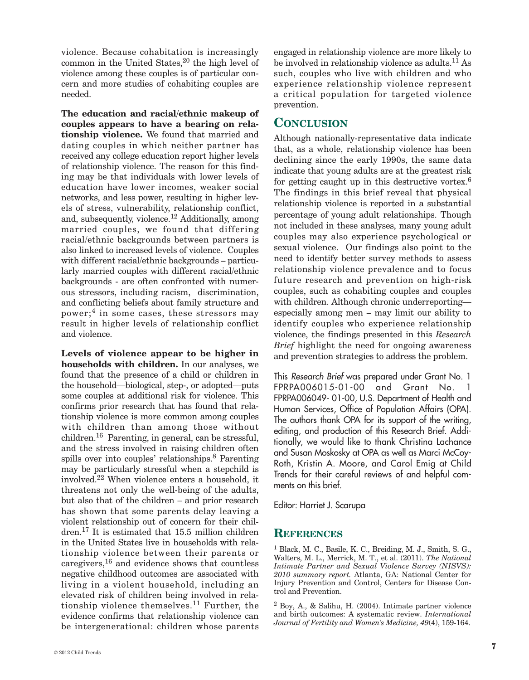violence. Because cohabitation is increasingly common in the United States, <sup>20</sup> the high level of violence among these couples is of particular concern and more studies of cohabiting couples are needed.

**The education and racial/ethnic makeup of couples appears to have a bearing on relationship violence.** We found that married and dating couples in which neither partner has received any college education report higher levels of relationship violence. The reason for this finding may be that individuals with lower levels of education have lower incomes, weaker social networks, and less power, resulting in higher levels of stress, vulnerability, relationship conflict, and, subsequently, violence. <sup>12</sup> Additionally, among married couples, we found that differing racial/ethnic backgrounds between partners is also linked to increased levels of violence. Couples with different racial/ethnic backgrounds – particularly married couples with different racial/ethnic backgrounds - are often confronted with numerous stressors, including racism, discrimination, and conflicting beliefs about family structure and power;<sup>4</sup> in some cases, these stressors may result in higher levels of relationship conflict and violence.

**Levels of violence appear to be higher in households with children.** In our analyses, we found that the presence of a child or children in the household—biological, step-, or adopted—puts some couples at additional risk for violence. This confirms prior research that has found that relationship violence is more common among couples with children than among those without children. <sup>16</sup> Parenting, in general, can be stressful, and the stress involved in raising children often spills over into couples' relationships. <sup>8</sup> Parenting may be particularly stressful when a stepchild is involved. <sup>22</sup> When violence enters a household, it threatens not only the well-being of the adults, but also that of the children – and prior research has shown that some parents delay leaving a violent relationship out of concern for their children. <sup>17</sup> It is estimated that 15.5 million children in the United States live in households with relationship violence between their parents or caregivers, <sup>16</sup> and evidence shows that countless negative childhood outcomes are associated with living in a violent household, including an elevated risk of children being involved in relationship violence themselves. <sup>11</sup> Further, the evidence confirms that relationship violence can be intergenerational: children whose parents engaged in relationship violence are more likely to be involved in relationship violence as adults. <sup>11</sup> As such, couples who live with children and who experience relationship violence represent a critical population for targeted violence prevention.

## **CONCLUSION**

Although nationally-representative data indicate that, as a whole, relationship violence has been declining since the early 1990s, the same data indicate that young adults are at the greatest risk for getting caught up in this destructive vortex.<sup>6</sup> The findings in this brief reveal that physical relationship violence is reported in a substantial percentage of young adult relationships. Though not included in these analyses, many young adult couples may also experience psychological or sexual violence. Our findings also point to the need to identify better survey methods to assess relationship violence prevalence and to focus future research and prevention on high-risk couples, such as cohabiting couples and couples with children. Although chronic underreporting especially among men – may limit our ability to identify couples who experience relationship violence, the findings presented in this *Research Brief* highlight the need for ongoing awareness and prevention strategies to address the problem.

This *Research Brief* was prepared under Grant No. 1 FPRPA006015-01-00 and Grant No. 1 FPRPA006049- 01-00, U.S. Department of Health and Human Services, Office of Population Affairs (OPA). The authors thank OPA for its support of the writing, editing, and production of this Research Brief. Additionally, we would like to thank Christina Lachance and Susan Moskosky at OPA as well as Marci McCoy-Roth, Kristin A. Moore, and Carol Emig at Child Trends for their careful reviews of and helpful comments on this brief.

Editor: Harriet J. Scarupa

#### **REFERENCES**

<sup>1</sup> Black, M. C., Basile, K. C., Breiding, M. J., Smith, S. G., Walters, M. L., Merrick, M. T., et al. (2011). *The National Intimate Partner and Sexual Violence Survey (NISVS): 2010 summary report.* Atlanta, GA: National Center for Injury Prevention and Control, Centers for Disease Control and Prevention.

<sup>2</sup> Boy, A., & Salihu, H. (2004). Intimate partner violence and birth outcomes: A systematic review. *International Journal of Fertility and Women's Medicine, 49*(4), 159-164.